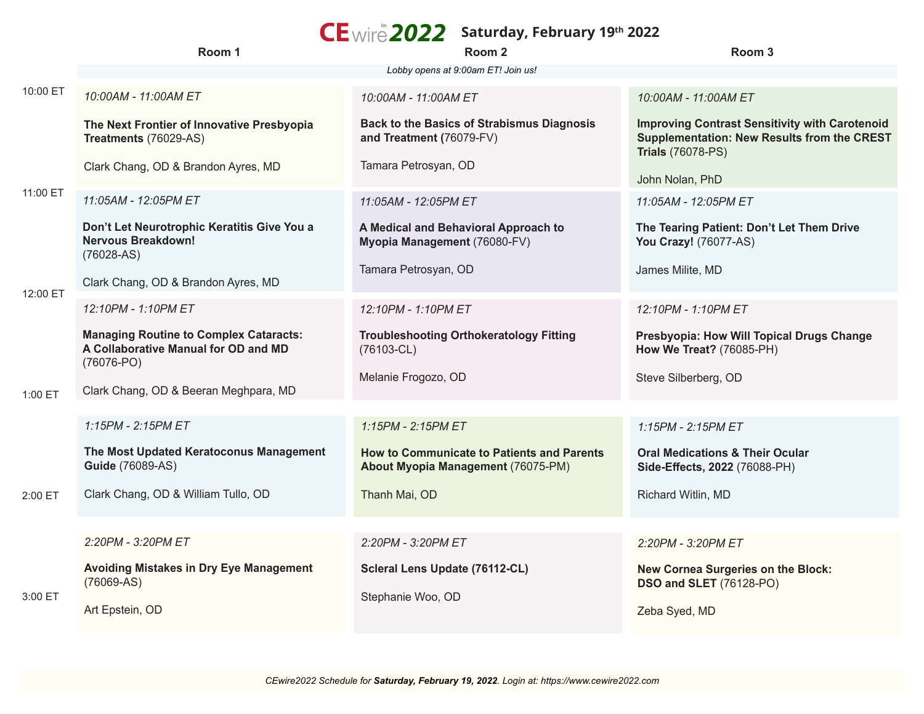|          | Room 1                                                                                                  | $CE$ wire $2022$ Saturday, February 19th 2022<br>Room <sub>2</sub>                      | Room 3                                                                                                                                  |
|----------|---------------------------------------------------------------------------------------------------------|-----------------------------------------------------------------------------------------|-----------------------------------------------------------------------------------------------------------------------------------------|
|          |                                                                                                         | Lobby opens at 9:00am ET! Join us!                                                      |                                                                                                                                         |
| 10:00 ET | 10:00AM - 11:00AM ET                                                                                    | 10:00AM - 11:00AM ET                                                                    | 10:00AM - 11:00AM ET                                                                                                                    |
| 11:00 ET | The Next Frontier of Innovative Presbyopia<br>Treatments (76029-AS)                                     | <b>Back to the Basics of Strabismus Diagnosis</b><br>and Treatment (76079-FV)           | <b>Improving Contrast Sensitivity with Carotenoid</b><br><b>Supplementation: New Results from the CREST</b><br><b>Trials (76078-PS)</b> |
|          | Clark Chang, OD & Brandon Ayres, MD                                                                     | Tamara Petrosyan, OD                                                                    | John Nolan, PhD                                                                                                                         |
|          | 11:05AM - 12:05PM ET                                                                                    | 11:05AM - 12:05PM ET                                                                    | 11:05AM - 12:05PM ET                                                                                                                    |
|          | Don't Let Neurotrophic Keratitis Give You a<br><b>Nervous Breakdown!</b><br>$(76028-AS)$                | A Medical and Behavioral Approach to<br>Myopia Management (76080-FV)                    | The Tearing Patient: Don't Let Them Drive<br>You Crazy! (76077-AS)                                                                      |
|          | Clark Chang, OD & Brandon Ayres, MD                                                                     | Tamara Petrosyan, OD                                                                    | James Milite, MD                                                                                                                        |
| 12:00 ET | 12:10PM - 1:10PM ET                                                                                     | 12:10PM - 1:10PM ET                                                                     | 12:10PM - 1:10PM ET                                                                                                                     |
|          | <b>Managing Routine to Complex Cataracts:</b><br>A Collaborative Manual for OD and MD<br>$(76076 - PO)$ | <b>Troubleshooting Orthokeratology Fitting</b><br>$(76103 - CL)$                        | Presbyopia: How Will Topical Drugs Change<br>How We Treat? (76085-PH)                                                                   |
| 1:00 ET  | Clark Chang, OD & Beeran Meghpara, MD                                                                   | Melanie Frogozo, OD                                                                     | Steve Silberberg, OD                                                                                                                    |
|          |                                                                                                         |                                                                                         |                                                                                                                                         |
|          | 1:15PM - 2:15PM ET                                                                                      | 1:15PM - 2:15PM ET                                                                      | 1:15PM - 2:15PM ET                                                                                                                      |
|          | The Most Updated Keratoconus Management<br><b>Guide (76089-AS)</b>                                      | <b>How to Communicate to Patients and Parents</b><br>About Myopia Management (76075-PM) | <b>Oral Medications &amp; Their Ocular</b><br>Side-Effects, 2022 (76088-PH)                                                             |
| 2:00 ET  | Clark Chang, OD & William Tullo, OD                                                                     | Thanh Mai, OD                                                                           | Richard Witlin, MD                                                                                                                      |
|          |                                                                                                         |                                                                                         |                                                                                                                                         |
|          | 2:20PM - 3:20PM ET                                                                                      | 2:20PM - 3:20PM ET                                                                      | 2:20PM - 3:20PM ET                                                                                                                      |
| 3:00 ET  | <b>Avoiding Mistakes in Dry Eye Management</b><br>$(76069-AS)$                                          | Scleral Lens Update (76112-CL)                                                          | New Cornea Surgeries on the Block:<br><b>DSO and SLET (76128-PO)</b>                                                                    |
|          | Art Epstein, OD                                                                                         | Stephanie Woo, OD                                                                       | Zeba Syed, MD                                                                                                                           |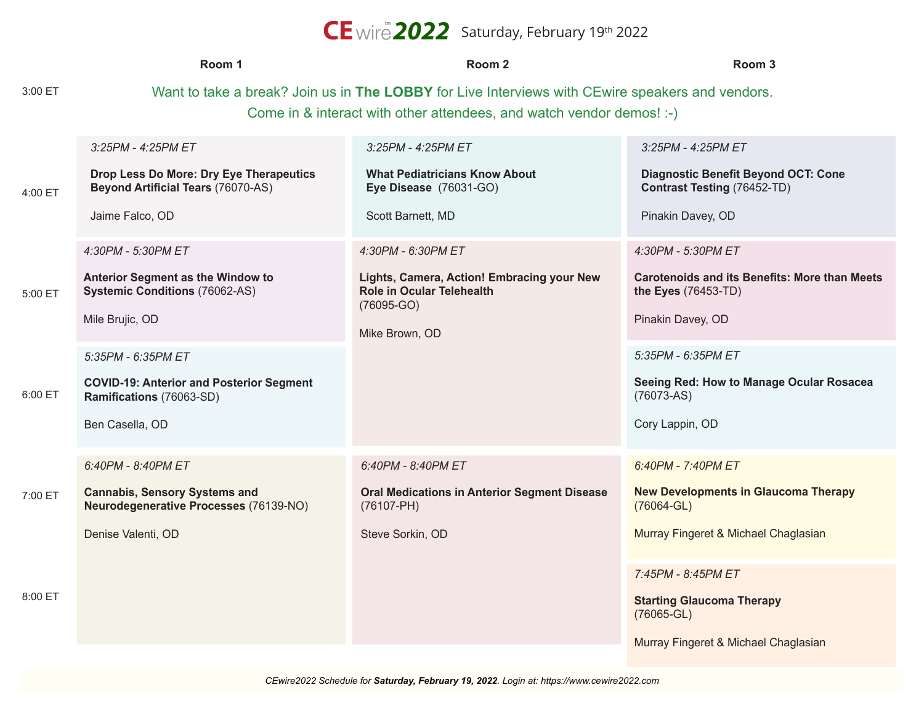## CE wire **2022** Saturday, February 19th 2022

|            | Room 1                                                                                                                                                                   | Room <sub>2</sub>                                                                                                                      | Room 3                                                                                                                        |  |
|------------|--------------------------------------------------------------------------------------------------------------------------------------------------------------------------|----------------------------------------------------------------------------------------------------------------------------------------|-------------------------------------------------------------------------------------------------------------------------------|--|
| 3:00 ET    | Want to take a break? Join us in The LOBBY for Live Interviews with CEwire speakers and vendors.<br>Come in & interact with other attendees, and watch vendor demos! :-) |                                                                                                                                        |                                                                                                                               |  |
| $4:00 E$ T | 3:25PM - 4:25PM ET<br>Drop Less Do More: Dry Eye Therapeutics<br><b>Beyond Artificial Tears (76070-AS)</b><br>Jaime Falco, OD                                            | 3:25PM - 4:25PM ET<br><b>What Pediatricians Know About</b><br>Eye Disease (76031-GO)<br>Scott Barnett, MD                              | $3:25PM - 4:25PM ET$<br><b>Diagnostic Benefit Beyond OCT: Cone</b><br><b>Contrast Testing (76452-TD)</b><br>Pinakin Davey, OD |  |
| 5:00 ET    | 4:30PM - 5:30PM ET<br>Anterior Segment as the Window to<br><b>Systemic Conditions (76062-AS)</b><br>Mile Brujic, OD                                                      | 4:30PM - 6:30PM ET<br>Lights, Camera, Action! Embracing your New<br><b>Role in Ocular Telehealth</b><br>$(76095-GO)$<br>Mike Brown, OD | 4:30PM - 5:30PM ET<br><b>Carotenoids and its Benefits: More than Meets</b><br>the Eyes (76453-TD)<br>Pinakin Davey, OD        |  |
| 6:00 ET    | 5:35PM - 6:35PM ET<br><b>COVID-19: Anterior and Posterior Segment</b><br>Ramifications (76063-SD)<br>Ben Casella, OD                                                     |                                                                                                                                        | 5:35PM - 6:35PM ET<br>Seeing Red: How to Manage Ocular Rosacea<br>$(76073-AS)$<br>Cory Lappin, OD                             |  |
| 7:00 ET    | 6:40PM - 8:40PM ET<br><b>Cannabis, Sensory Systems and</b><br>Neurodegenerative Processes (76139-NO)<br>Denise Valenti, OD                                               | 6:40PM - 8:40PM ET<br><b>Oral Medications in Anterior Segment Disease</b><br>$(76107 - PH)$<br>Steve Sorkin, OD                        | 6:40PM - 7:40PM ET<br><b>New Developments in Glaucoma Therapy</b><br>$(76064 - GL)$<br>Murray Fingeret & Michael Chaglasian   |  |
| 8:00 ET    |                                                                                                                                                                          |                                                                                                                                        | 7:45PM - 8:45PM ET<br><b>Starting Glaucoma Therapy</b><br>$(76065 - GL)$<br>Murray Fingeret & Michael Chaglasian              |  |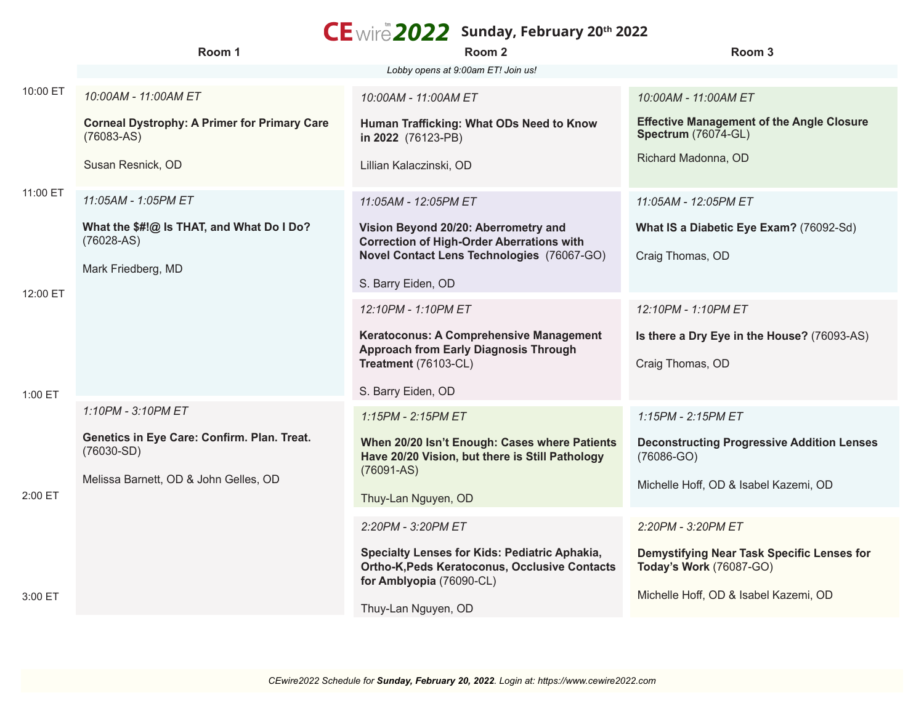## $CE$  wire 2022 Sunday, February 20<sup>th</sup> 2022

|          | Room 1                                                                                               | -- <i>-</i> ---------<br>Room 2                                                                                                   | Room 3                                                                       |
|----------|------------------------------------------------------------------------------------------------------|-----------------------------------------------------------------------------------------------------------------------------------|------------------------------------------------------------------------------|
|          |                                                                                                      | Lobby opens at 9:00am ET! Join us!                                                                                                |                                                                              |
| 10:00 ET | 10:00AM - 11:00AM ET                                                                                 | 10:00AM - 11:00AM ET                                                                                                              | 10:00AM - 11:00AM ET                                                         |
|          | <b>Corneal Dystrophy: A Primer for Primary Care</b><br>$(76083-AS)$                                  | Human Trafficking: What ODs Need to Know<br>in 2022 (76123-PB)                                                                    | <b>Effective Management of the Angle Closure</b><br>Spectrum (76074-GL)      |
| 11:00 ET | Susan Resnick, OD                                                                                    | Lillian Kalaczinski, OD                                                                                                           | Richard Madonna, OD                                                          |
|          | 11:05AM - 1:05PM ET                                                                                  | 11:05AM - 12:05PM ET                                                                                                              | 11:05AM - 12:05PM ET                                                         |
|          | What the \$#!@ Is THAT, and What Do I Do?<br>$(76028-AS)$                                            | Vision Beyond 20/20: Aberrometry and<br><b>Correction of High-Order Aberrations with</b>                                          | What IS a Diabetic Eye Exam? (76092-Sd)                                      |
| 12:00 ET |                                                                                                      | Novel Contact Lens Technologies (76067-GO)                                                                                        | Craig Thomas, OD                                                             |
|          | Mark Friedberg, MD                                                                                   | S. Barry Eiden, OD                                                                                                                |                                                                              |
|          |                                                                                                      | 12:10PM - 1:10PM ET                                                                                                               | 12:10PM - 1:10PM ET                                                          |
|          |                                                                                                      | Keratoconus: A Comprehensive Management<br><b>Approach from Early Diagnosis Through</b>                                           | Is there a Dry Eye in the House? (76093-AS)                                  |
|          |                                                                                                      | Treatment (76103-CL)                                                                                                              | Craig Thomas, OD                                                             |
| 1:00 ET  |                                                                                                      | S. Barry Eiden, OD                                                                                                                |                                                                              |
| 2:00 ET  | 1:10PM - 3:10PM ET                                                                                   | 1:15PM - 2:15PM ET                                                                                                                | 1:15PM - 2:15PM ET                                                           |
|          | Genetics in Eye Care: Confirm. Plan. Treat.<br>$(76030-SD)$<br>Melissa Barnett, OD & John Gelles, OD | When 20/20 Isn't Enough: Cases where Patients<br>Have 20/20 Vision, but there is Still Pathology<br>$(76091-AS)$                  | <b>Deconstructing Progressive Addition Lenses</b><br>$(76086-GO)$            |
|          |                                                                                                      |                                                                                                                                   | Michelle Hoff, OD & Isabel Kazemi, OD                                        |
|          |                                                                                                      | Thuy-Lan Nguyen, OD                                                                                                               |                                                                              |
|          |                                                                                                      | 2:20PM - 3:20PM ET                                                                                                                | 2:20PM - 3:20PM ET                                                           |
|          |                                                                                                      | Specialty Lenses for Kids: Pediatric Aphakia,<br><b>Ortho-K, Peds Keratoconus, Occlusive Contacts</b><br>for Amblyopia (76090-CL) | Demystifying Near Task Specific Lenses for<br><b>Today's Work (76087-GO)</b> |
| 3:00 ET  |                                                                                                      | Thuy-Lan Nguyen, OD                                                                                                               | Michelle Hoff, OD & Isabel Kazemi, OD                                        |